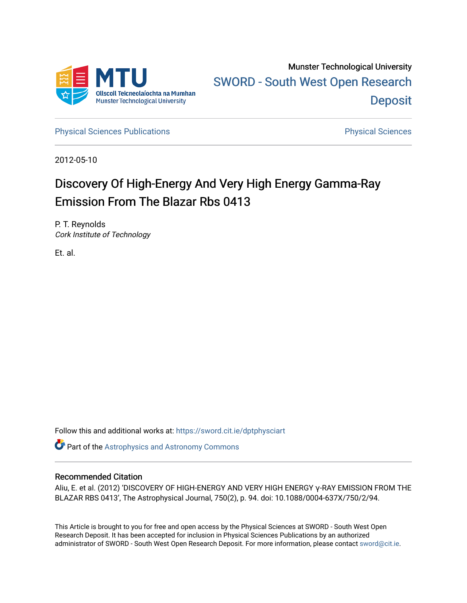

Munster Technological University [SWORD - South West Open Research](https://sword.cit.ie/)  **Deposit** 

[Physical Sciences Publications](https://sword.cit.ie/dptphysciart) **Physical Sciences** Physical Sciences

2012-05-10

# Discovery Of High-Energy And Very High Energy Gamma-Ray Emission From The Blazar Rbs 0413

P. T. Reynolds Cork Institute of Technology

Et. al.

Follow this and additional works at: [https://sword.cit.ie/dptphysciart](https://sword.cit.ie/dptphysciart?utm_source=sword.cit.ie%2Fdptphysciart%2F55&utm_medium=PDF&utm_campaign=PDFCoverPages)

Part of the [Astrophysics and Astronomy Commons](http://network.bepress.com/hgg/discipline/123?utm_source=sword.cit.ie%2Fdptphysciart%2F55&utm_medium=PDF&utm_campaign=PDFCoverPages) 

# Recommended Citation

Aliu, E. et al. (2012) 'DISCOVERY OF HIGH-ENERGY AND VERY HIGH ENERGY γ-RAY EMISSION FROM THE BLAZAR RBS 0413', The Astrophysical Journal, 750(2), p. 94. doi: 10.1088/0004-637X/750/2/94.

This Article is brought to you for free and open access by the Physical Sciences at SWORD - South West Open Research Deposit. It has been accepted for inclusion in Physical Sciences Publications by an authorized administrator of SWORD - South West Open Research Deposit. For more information, please contact [sword@cit.ie.](mailto:sword@cit.ie)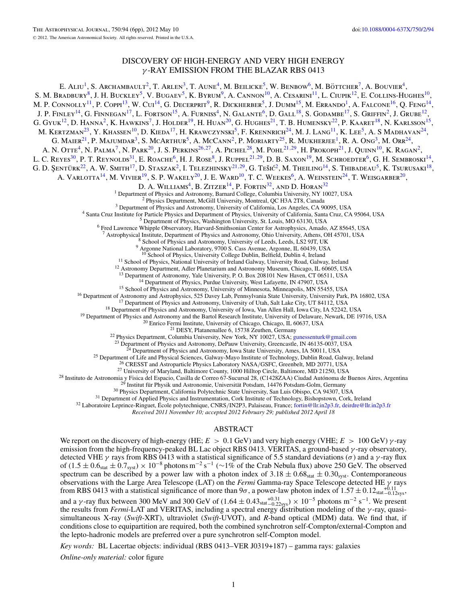# DISCOVERY OF HIGH-ENERGY AND VERY HIGH ENERGY *γ* -RAY EMISSION FROM THE BLAZAR RBS 0413

E. ALIU<sup>1</sup>, S. Archambault<sup>2</sup>, T. Arlen<sup>3</sup>, T. Aune<sup>4</sup>, M. Beilicke<sup>5</sup>, W. Benbow<sup>6</sup>, M. Böttcher<sup>7</sup>, A. Bouvier<sup>4</sup>, S. M. Bradbury<sup>8</sup>, J. H. Buckley<sup>5</sup>, V. Bugaev<sup>5</sup>, K. Byrum<sup>9</sup>, A. Cannon<sup>10</sup>, A. Cesarini<sup>11</sup>, L. Ciupik<sup>12</sup>, E. Collins-Hughes<sup>10</sup>, M. P. CONNOLLY<sup>11</sup>, P. COPPI<sup>13</sup>, W. CUI<sup>14</sup>, G. DECERPRIT<sup>9</sup>, R. DICKHERBER<sup>5</sup>, J. DUMM<sup>15</sup>, M. ERRANDO<sup>1</sup>, A. FALCONE<sup>16</sup>, Q. FENG<sup>14</sup>, J. P. FINLEY<sup>14</sup>, G. FINNEGAN<sup>17</sup>, L. FORTSON<sup>15</sup>, A. FURNISS<sup>4</sup>, N. GALANTE<sup>6</sup>, D. GALL<sup>18</sup>, S. GODAMBE<sup>17</sup>, S. GRIFFIN<sup>2</sup>, J. GRUBE<sup>12</sup>, G. GYUK<sup>12</sup>, D. HANNA<sup>2</sup>, K. HAWKINS<sup>7</sup>, J. HOLDER<sup>19</sup>, H. HUAN<sup>20</sup>, G. HUGHES<sup>21</sup>, T. B. HUMENSKY<sup>22</sup>, P. KAARET<sup>18</sup>, N. KARLSSON<sup>15</sup>, M. KERTZMAN<sup>23</sup>, Y. KHASSEN<sup>10</sup>, D. KIEDA<sup>17</sup>, H. KRAWCZYNSKI<sup>5</sup>, F. KRENNRICH<sup>24</sup>, M. J. LANG<sup>11</sup>, K. LEE<sup>5</sup>, A. S MADHAVAN<sup>24</sup>, G. Maier $^{21}$ , P. Majumdar $^3$ , S. McArthur $^5$ , A. McCann $^2$ , P. Moriarty $^{25}$ , R. Mukherjee $^1$ , R. A. Ong $^3$ , M. Orr $^{24}$ , A. N. Otte<sup>4</sup>, N. Palma<sup>7</sup>, N. Park<sup>20</sup>, J. S. Perkins<sup>26,27</sup>, A. Pichel<sup>28</sup>, M. Pohl<sup>21,29</sup>, H. Prokoph<sup>21</sup>, J. Quinn<sup>10</sup>, K. Ragan<sup>2</sup>, L. C. Reyes<sup>30</sup>, P. T. Reynolds<sup>31</sup>, E. Roache<sup>6</sup>, H. J. Rose<sup>8</sup>, J. Ruppel<sup>21,29</sup>, D. B. Saxon<sup>19</sup>, M. Schroedter<sup>6</sup>, G. H. Sembroski<sup>14</sup>, G. D. Şentürk<sup>22</sup>, A. W. Smith<sup>17</sup>, D. Staszak<sup>2</sup>, I. Telezhinsky<sup>21,29</sup>, G. Tešić<sup>2</sup>, M. Theiling<sup>14</sup>, S. Thibadeau<sup>5</sup>, K. Tsurusaki<sup>18</sup>, A. VARLOTTA<sup>14</sup>, M. VIVIER<sup>19</sup>, S. P. WAKELY<sup>20</sup>, J. E. WARD<sup>10</sup>, T. C. WEEKES<sup>6</sup>, A. WEINSTEIN<sup>24</sup>, T. WEISGARBER<sup>20</sup>, D. A. WILLIAMS<sup>4</sup>, B. ZITZER<sup>14</sup>, P. FORTIN<sup>32</sup>, AND D. HORAN<sup>32</sup><sup>1</sup> Department of Physics and Astronomy, Barnard College, Columbia University, NY 10027, USA <sup>2</sup> Physics Department, McGill University, Montreal, QC H3A 2T8, Canada<br><sup>3</sup> Department of Physics and Astronomy, University of California, Los Angeles, CA 90095, USA<br><sup>4</sup> Santa Cruz Institute for Particle Physics and Depart  $^{8}$  School of Physics and Astronomy, University of Leeds, Leeds, LS2 9JT, UK  $^{9}$  Argonne National Laboratory, 9700 S. Cass Avenue, Argonne, IL 60439, USA  $^{10}$  School of Physics, University College Dublin, Belfield, <sup>11</sup> School of Physics, National University of Ireland Galway, University Road, Galway, Ireland  $^{12}$  Astronomy Department, Adler Planetarium and Astronomy Museum, Chicago, IL 60605, USA  $^{13}$  Department of Astronomy, Y <sup>14</sup> Department of Physics, Purdue University, West Lafayette, IN 47907, USA<br>
<sup>15</sup> School of Physics and Astronomy, University of Minnesota, Minneapolis, MN 55455, USA<br>
<sup>16</sup> Department of Astronomy and Astrophysics, 525 D *Received 2011 November 10; accepted 2012 February 29; published 2012 April 18* ABSTRACT We report on the discovery of high-energy (HE; *E >* 0*.*1 GeV) and very high energy (VHE; *E >* 100 GeV) *γ* -ray emission from the high-frequency-peaked BL Lac object RBS 0413. VERITAS, a ground-based *γ* -ray observatory,

detected VHE *γ* rays from RBS 0413 with a statistical significance of 5.5 standard deviations (*σ*) and a *γ*-ray flux of  $(1.5 \pm 0.6<sub>stat</sub> \pm 0.7<sub>syst</sub>) \times 10<sup>-8</sup>$  photons m<sup>-2</sup> s<sup>-1</sup> (∼1% of the Crab Nebula flux) above 250 GeV. The observed spectrum can be described by a power law with a photon index of  $3.18 \pm 0.68_{stat} \pm 0.30_{syst}$ . Contemporaneous observations with the Large Area Telescope (LAT) on the *Fermi* Gamma-ray Space Telescope detected HE *γ* rays from RBS 0413 with a statistical significance of more than  $9\sigma$ , a power-law photon index of  $1.57 \pm 0.12_{stat-0.12sys}$ , and a  $\gamma$ -ray flux between 300 MeV and 300 GeV of  $(1.64 \pm 0.43_{stat_{-0.22sys}}) \times 10^{-5}$  photons m<sup>-2</sup> s<sup>-1</sup>. We present the results from *Fermi*-LAT and VERITAS, including a spectral energy distribution modeling of the  $\gamma$ simultaneous X-ray (*Swift*-XRT), ultraviolet (*Swift*-UVOT), and *R*-band optical (MDM) data. We find that, if conditions close to equipartition are required, both the combined synchrotron self-Compton/external-Compton and the lepto-hadronic models are preferred over a pure synchrotron self-Compton model.

*Key words:* BL Lacertae objects: individual (RBS 0413–VER J0319+187) – gamma rays: galaxies

*Online-only material:* color figure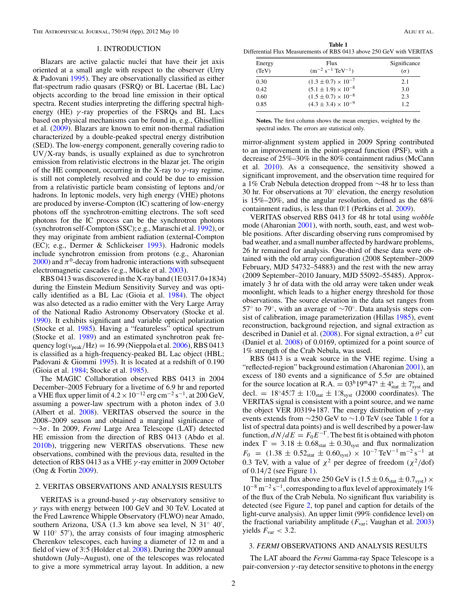#### 1. INTRODUCTION

<span id="page-2-0"></span>Blazars are active galactic nuclei that have their jet axis oriented at a small angle with respect to the observer (Urry & Padovani [1995\)](#page-6-0). They are observationally classified as either flat-spectrum radio quasars (FSRQ) or BL Lacertae (BL Lac) objects according to the broad line emission in their optical spectra. Recent studies interpreting the differing spectral highenergy (HE) *γ* -ray properties of the FSRQs and BL Lacs based on physical mechanisms can be found in, e.g., Ghisellini et al. [\(2009\)](#page-6-0). Blazars are known to emit non-thermal radiation characterized by a double-peaked spectral energy distribution (SED). The low-energy component, generally covering radio to UV*/*X-ray bands, is usually explained as due to synchrotron emission from relativistic electrons in the blazar jet. The origin of the HE component, occurring in the X-ray to *γ* -ray regime, is still not completely resolved and could be due to emission from a relativistic particle beam consisting of leptons and*/*or hadrons. In leptonic models, very high energy (VHE) photons are produced by inverse-Compton (IC) scattering of low-energy photons off the synchrotron-emitting electrons. The soft seed photons for the IC process can be the synchrotron photons (synchrotron self-Compton (SSC); e.g., Maraschi et al. [1992\)](#page-6-0), or they may originate from ambient radiation (external-Compton (EC); e.g., Dermer & Schlickeiser [1993\)](#page-6-0). Hadronic models include synchrotron emission from protons (e.g., Aharonian  $2000$ ) and  $\pi$ <sup>0</sup>-decay from hadronic interactions with subsequent electromagnetic cascades (e.g., Mücke et al. [2003\)](#page-6-0).

RBS 0413 was discovered in the X-ray band (1E 0317.0+1834) during the Einstein Medium Sensitivity Survey and was optically identified as a BL Lac (Gioia et al. [1984\)](#page-6-0). The object was also detected as a radio emitter with the Very Large Array of the National Radio Astronomy Observatory (Stocke et al. [1990\)](#page-6-0). It exhibits significant and variable optical polarization (Stocke et al. [1985\)](#page-6-0). Having a "featureless" optical spectrum (Stocke et al. [1989\)](#page-6-0) and an estimated synchrotron peak frequency log(*ν*peak*/*Hz) = 16*.*99 (Nieppola et al. [2006\)](#page-6-0), RBS 0413 is classified as a high-frequency-peaked BL Lac object (HBL; Padovani & Giommi [1995\)](#page-6-0). It is located at a redshift of 0.190 (Gioia et al. [1984;](#page-6-0) Stocke et al. [1985\)](#page-6-0).

The MAGIC Collaboration observed RBS 0413 in 2004 December–2005 February for a livetime of 6.9 hr and reported a VHE flux upper limit of  $4.2 \times 10^{-12}$  erg cm<sup>-2</sup> s<sup>-1</sup>, at 200 GeV, assuming a power-law spectrum with a photon index of 3.0 (Albert et al. [2008\)](#page-6-0). VERITAS observed the source in the 2008–2009 season and obtained a marginal significance of ∼3*σ*. In 2009, *Fermi* Large Area Telescope (LAT) detected HE emission from the direction of RBS 0413 (Abdo et al. [2010b\)](#page-6-0), triggering new VERITAS observations. These new observations, combined with the previous data, resulted in the detection of RBS 0413 as a VHE *γ* -ray emitter in 2009 October (Ong & Fortin [2009\)](#page-6-0).

# 2. VERITAS OBSERVATIONS AND ANALYSIS RESULTS

VERITAS is a ground-based *γ* -ray observatory sensitive to *γ* rays with energy between 100 GeV and 30 TeV. Located at the Fred Lawrence Whipple Observatory (FLWO) near Amado, southern Arizona, USA (1.3 km above sea level, N 31<sup>°</sup> 40', W 110◦ 57 ), the array consists of four imaging atmospheric Cherenkov telescopes, each having a diameter of 12 m and a field of view of 3°.5 (Holder et al. [2008\)](#page-6-0). During the 2009 annual shutdown (July–August), one of the telescopes was relocated to give a more symmetrical array layout. In addition, a new

**Table 1** Differential Flux Measurements of RBS 0413 above 250 GeV with VERITAS

| Energy | Flux                           | Significance |  |
|--------|--------------------------------|--------------|--|
| (TeV)  | $(m^{-2} s^{-1} TeV^{-1})$     | $(\sigma)$   |  |
| 0.30   | $(1.3 \pm 0.7) \times 10^{-7}$ | 2.1          |  |
| 0.42   | $(5.1 \pm 1.9) \times 10^{-8}$ | 3.0          |  |
| 0.60   | $(1.5 \pm 0.7) \times 10^{-8}$ | 2.3          |  |
| 0.85   | $(4.3 \pm 3.4) \times 10^{-9}$ | 12           |  |

**Notes.** The first column shows the mean energies, weighted by the spectral index. The errors are statistical only.

mirror-alignment system applied in 2009 Spring contributed to an improvement in the point-spread function (PSF), with a decrease of 25%–30% in the 80% containment radius (McCann et al. [2010\)](#page-6-0). As a consequence, the sensitivity showed a significant improvement, and the observation time required for a 1% Crab Nebula detection dropped from ∼48 hr to less than 30 hr. For observations at 70◦ elevation, the energy resolution is 15%–20%, and the angular resolution, defined as the 68% containment radius, is less than  $0^{\circ}$ 1 (Perkins et al. [2009\)](#page-6-0).

VERITAS observed RBS 0413 for 48 hr total using *wobble* mode (Aharonian [2001\)](#page-6-0), with north, south, east, and west wobble positions. After discarding observing runs compromised by bad weather, and a small number affected by hardware problems, 26 hr remained for analysis. One-third of these data were obtained with the old array configuration (2008 September–2009 February, MJD 54732–54883) and the rest with the new array (2009 September–2010 January, MJD 55092–55485). Approximately 3 hr of data with the old array were taken under weak moonlight, which leads to a higher energy threshold for those observations. The source elevation in the data set ranges from 57 $\degree$  to 79 $\degree$ , with an average of  $\sim$ 70 $\degree$ . Data analysis steps consist of calibration, image parameterization (Hillas [1985\)](#page-6-0), event reconstruction, background rejection, and signal extraction as described in Daniel et al. [\(2008\)](#page-6-0). For signal extraction, a  $\theta^2$  cut (Daniel et al. [2008\)](#page-6-0) of 0.0169, optimized for a point source of 1% strength of the Crab Nebula, was used.

RBS 0413 is a weak source in the VHE regime. Using a "reflected-region" background estimation (Aharonian [2001\)](#page-6-0), an excess of 180 events and a significance of 5.5*σ* are obtained for the source location at R.A.  $= 03^{\text{h}}19^{\text{m}}47^{\text{s}} \pm 4^{\text{s}}_{\text{stat}} \pm 7^{\text{s}}_{\text{syst}}$  and decl.  $= 18°45.7 \pm 1.0$ <sub>stat</sub>  $\pm 1.8$ <sub>syst</sub> (J2000 coordinates). The VERITAS signal is consistent with a point source, and we name the object VER J0319+187. The energy distribution of *γ* -ray events extends from ∼250 GeV to ∼1*.*0 TeV (see Table 1 for a list of spectral data points) and is well described by a power-law function,  $dN/dE = F_0E^{-\Gamma}$ . The best fit is obtained with photon index  $\Gamma = 3.18 \pm 0.68_{stat} \pm 0.30_{syst}$  and flux normalization  $F_0$  = (1.38 ± 0.52<sub>stat</sub> ± 0.60<sub>syst</sub>) × 10<sup>-7</sup> TeV<sup>-1</sup> m<sup>-2</sup> s<sup>-1</sup> at 0.3 TeV, with a value of  $\chi^2$  per degree of freedom ( $\chi^2$ /dof) of 0.14*/*2 (see Figure [1\)](#page-3-0).

The integral flux above 250 GeV is  $(1.5 \pm 0.6<sub>stat</sub> \pm 0.7<sub>syst</sub>) \times$ 10−<sup>8</sup> m−<sup>2</sup> s−1, corresponding to a flux level of approximately 1% of the flux of the Crab Nebula. No significant flux variability is detected (see Figure [2,](#page-3-0) top panel and caption for details of the light-curve analysis). An upper limit (99% confidence level) on the fractional variability amplitude (*F*var; Vaughan et al. [2003\)](#page-6-0) yields  $F_{\text{var}} < 3.2$ .

#### 3. *FERMI* OBSERVATIONS AND ANALYSIS RESULTS

The LAT aboard the *Fermi* Gamma-ray Space Telescope is a pair-conversion *γ* -ray detector sensitive to photons in the energy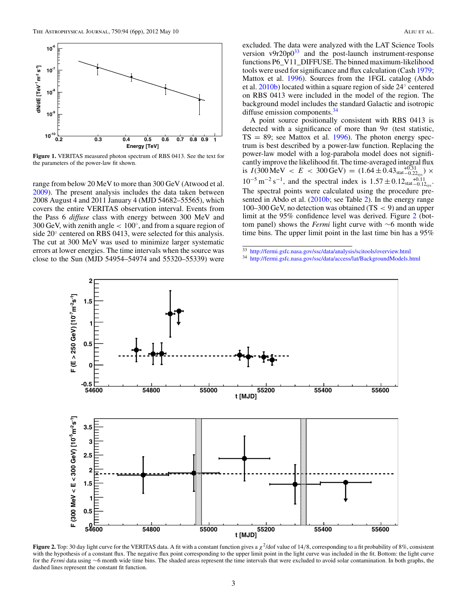<span id="page-3-0"></span>

**Figure 1.** VERITAS measured photon spectrum of RBS 0413. See the text for the parameters of the power-law fit shown.

range from below 20 MeV to more than 300 GeV (Atwood et al. [2009\)](#page-6-0). The present analysis includes the data taken between 2008 August 4 and 2011 January 4 (MJD 54682–55565), which covers the entire VERITAS observation interval. Events from the Pass 6 *diffuse* class with energy between 300 MeV and 300 GeV, with zenith angle *<* 100◦, and from a square region of side 20◦ centered on RBS 0413, were selected for this analysis. The cut at 300 MeV was used to minimize larger systematic errors at lower energies. The time intervals when the source was close to the Sun (MJD 54954–54974 and 55320–55339) were

excluded. The data were analyzed with the LAT Science Tools version  $v9r20p0^{33}$  and the post-launch instrument-response functions P6\_V11\_DIFFUSE. The binned maximum-likelihood tools were used for significance and flux calculation (Cash [1979;](#page-6-0) Mattox et al. [1996\)](#page-6-0). Sources from the 1FGL catalog (Abdo et al. [2010b\)](#page-6-0) located within a square region of side 24◦ centered on RBS 0413 were included in the model of the region. The background model includes the standard Galactic and isotropic diffuse emission components.<sup>34</sup>

A point source positionally consistent with RBS 0413 is detected with a significance of more than 9*σ* (test statistic,  $TS = 89$ ; see Mattox et al. [1996\)](#page-6-0). The photon energy spectrum is best described by a power-law function. Replacing the power-law model with a log-parabola model does not significantly improve the likelihood fit. The time-averaged integral flux is  $I(300 \text{ MeV} < E < 300 \text{ GeV}) = (1.64 \pm 0.43 \text{stat}^{-0.31}_{-0.22} \text{sys}) \times$  $10^{-5}$  m<sup>-2</sup> s<sup>-1</sup>, and the spectral index is  $1.57 \pm 0.12_{stat} +0.11_{syst}$ . The spectral points were calculated using the procedure pre-sented in Abdo et al. [\(2010b;](#page-6-0) see Table [2\)](#page-4-0). In the energy range 100–300 GeV, no detection was obtained (TS *<* 9) and an upper limit at the 95% confidence level was derived. Figure 2 (bottom panel) shows the *Fermi* light curve with ∼6 month wide time bins. The upper limit point in the last time bin has a 95%

<sup>34</sup> <http://fermi.gsfc.nasa.gov/ssc/data/access/lat/BackgroundModels.html>



**Figure 2.** Top: 30 day light curve for the VERITAS data. A fit with a constant function gives a  $\chi^2$ /dof value of 14/8, corresponding to a fit probability of 8%, consistent with the hypothesis of a constant flux. The negative flux point corresponding to the upper limit point in the light curve was included in the fit. Bottom: the light curve for the *Fermi* data using ∼6 month wide time bins. The shaded areas represent the time intervals that were excluded to avoid solar contamination. In both graphs, the dashed lines represent the constant fit function.

<sup>33</sup> <http://fermi.gsfc.nasa.gov/ssc/data/analysis/scitools/overview.html>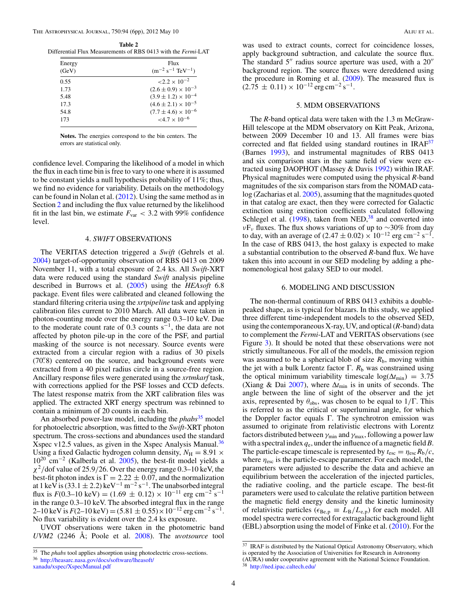<span id="page-4-0"></span>**Table 2** Differential Flux Measurements of RBS 0413 with the *Fermi*-LAT

| Energy<br>(GeV) | Flux<br>$(m^{-2} s^{-1} TeV^{-1})$ |  |  |
|-----------------|------------------------------------|--|--|
| 0.55            | $\approx 2.2 \times 10^{-2}$       |  |  |
| 1.73            | $(2.6 \pm 0.9) \times 10^{-3}$     |  |  |
| 5.48            | $(3.9 \pm 1.2) \times 10^{-4}$     |  |  |
| 17.3            | $(4.6 \pm 2.1) \times 10^{-5}$     |  |  |
| 54.8            | $(7.7 \pm 4.6) \times 10^{-6}$     |  |  |
| 173             | $< 4.7 \times 10^{-6}$             |  |  |

**Notes.** The energies correspond to the bin centers. The errors are statistical only.

confidence level. Comparing the likelihood of a model in which the flux in each time bin is free to vary to one where it is assumed to be constant yields a null hypothesis probability of 11%; thus, we find no evidence for variability. Details on the methodology can be found in Nolan et al. [\(2012\)](#page-6-0). Using the same method as in Section [2](#page-2-0) and including the flux value returned by the likelihood fit in the last bin, we estimate  $F_{\text{var}} < 3.2$  with 99% confidence level.

#### 4. *SWIFT* OBSERVATIONS

The VERITAS detection triggered a *Swift* (Gehrels et al. [2004\)](#page-6-0) target-of-opportunity observation of RBS 0413 on 2009 November 11, with a total exposure of 2.4 ks. All *Swift*-XRT data were reduced using the standard *Swift* analysis pipeline described in Burrows et al. [\(2005\)](#page-6-0) using the *HEAsoft* 6.8 package. Event files were calibrated and cleaned following the standard filtering criteria using the *xrtpipeline* task and applying calibration files current to 2010 March. All data were taken in photon-counting mode over the energy range 0.3–10 keV. Due to the moderate count rate of 0.3 counts  $s^{-1}$ , the data are not affected by photon pile-up in the core of the PSF, and partial masking of the source is not necessary. Source events were extracted from a circular region with a radius of 30 pixels (70*.* 8) centered on the source, and background events were extracted from a 40 pixel radius circle in a source-free region. Ancillary response files were generated using the *xrtmkarf* task, with corrections applied for the PSF losses and CCD defects. The latest response matrix from the XRT calibration files was applied. The extracted XRT energy spectrum was rebinned to contain a minimum of 20 counts in each bin.

An absorbed power-law model, including the *phabs*<sup>35</sup> model for photoelectric absorption, was fitted to the *Swift*-XRT photon spectrum. The cross-sections and abundances used the standard Xspec v12.5 values, as given in the Xspec Analysis Manual.<sup>36</sup> Using a fixed Galactic hydrogen column density,  $N_{\text{H}} = 8.91 \times$ 1020 cm−<sup>2</sup> (Kalberla et al. [2005\)](#page-6-0), the best-fit model yields a *χ*<sup>2</sup>*/*dof value of 25.9*/*26. Over the energy range 0.3–10 keV, the best-fit photon index is  $\Gamma = 2.22 \pm 0.07$ , and the normalization at 1 keV is  $(33.1 \pm 2.2)$  keV<sup>-1</sup> m<sup>-2</sup> s<sup>-1</sup>. The unabsorbed integral flux is  $F(0.3-10 \text{ keV}) = (1.69 \pm 0.12) \times 10^{-11} \text{ erg cm}^{-2} \text{ s}^{-1}$ in the range 0.3–10 keV. The absorbed integral flux in the range 2–10 keV is  $F(2-10 \text{ keV}) = (5.81 \pm 0.55) \times 10^{-12} \text{ erg cm}^{-2} \text{ s}^{-1}$ No flux variability is evident over the 2.4 ks exposure.

UVOT observations were taken in the photometric band *UVM2* (2246 Å; Poole et al. [2008\)](#page-6-0). The *uvotsource* tool

was used to extract counts, correct for coincidence losses, apply background subtraction, and calculate the source flux. The standard  $5''$  radius source aperture was used, with a  $20''$ background region. The source fluxes were dereddened using the procedure in Roming et al. [\(2009\)](#page-6-0). The measured flux is  $(2.75 \pm 0.11) \times 10^{-12}$  erg cm<sup>-2</sup> s<sup>-1</sup>.

## 5. MDM OBSERVATIONS

The *R*-band optical data were taken with the 1.3 m McGraw-Hill telescope at the MDM observatory on Kitt Peak, Arizona, between 2009 December 10 and 13. All frames were bias corrected and flat fielded using standard routines in IRAF<sup>37</sup> (Barnes [1993\)](#page-6-0), and instrumental magnitudes of RBS 0413 and six comparison stars in the same field of view were extracted using DAOPHOT (Massey & Davis [1992\)](#page-6-0) within IRAF. Physical magnitudes were computed using the physical *R*-band magnitudes of the six comparison stars from the NOMAD cata-log (Zacharias et al. [2005\)](#page-6-0), assuming that the magnitudes quoted in that catalog are exact, then they were corrected for Galactic extinction using extinction coefficients calculated following Schlegel et al.  $(1998)$ , taken from NED,<sup>38</sup> and converted into *ν*F<sub>*ν*</sub> fluxes. The flux shows variations of up to ∼30% from day to day, with an average of  $(2.47 \pm 0.02) \times 10^{-12}$  erg cm<sup>-2</sup> s<sup>-1</sup>. In the case of RBS 0413, the host galaxy is expected to make a substantial contribution to the observed *R*-band flux. We have taken this into account in our SED modeling by adding a phenomenological host galaxy SED to our model.

## 6. MODELING AND DISCUSSION

The non-thermal continuum of RBS 0413 exhibits a doublepeaked shape, as is typical for blazars. In this study, we applied three different time-independent models to the observed SED, using the contemporaneous X-ray, UV, and optical (*R*-band) data to complement the *Fermi*-LAT and VERITAS observations (see Figure [3\)](#page-5-0). It should be noted that these observations were not strictly simultaneous. For all of the models, the emission region was assumed to be a spherical blob of size  $R<sub>b</sub>$ , moving within the jet with a bulk Lorentz factor  $\Gamma$ .  $R_b$  was constrained using the optical minimum variability timescale  $log(\Delta t_{min}) = 3.75$ (Xiang & Dai [2007\)](#page-6-0), where  $\Delta t_{\text{min}}$  is in units of seconds. The angle between the line of sight of the observer and the jet axis, represented by  $\theta_{obs}$ , was chosen to be equal to  $1/\Gamma$ . This is referred to as the critical or superluminal angle, for which the Doppler factor equals Γ. The synchrotron emission was assumed to originate from relativistic electrons with Lorentz factors distributed between *γ*min and *γ*max, following a power law with a spectral index *q*e, under the influence of a magnetic field*B*. The particle-escape timescale is represented by  $t_{\text{esc}} = \eta_{\text{esc}} R_b/c$ , where *η*esc is the particle-escape parameter. For each model, the parameters were adjusted to describe the data and achieve an equilibrium between the acceleration of the injected particles, the radiative cooling, and the particle escape. The best-fit parameters were used to calculate the relative partition between the magnetic field energy density and the kinetic luminosity of relativistic particles ( $\epsilon_{\text{Be,p}} \equiv L_{\text{B}}/L_{\text{e,p}}$ ) for each model. All model spectra were corrected for extragalactic background light (EBL) absorption using the model of Finke et al. [\(2010\)](#page-6-0). For the

<sup>&</sup>lt;sup>35</sup> The *phabs* tool applies absorption using photoelectric cross-sections. <sup>36</sup> [http://heasarc.nasa.gov/docs/software/lheasoft/](http://heasarc.nasa.gov/docs/software/lheasoft/xanadu/xspec/XspecManual.pdf)

[xanadu/xspec/XspecManual.pdf](http://heasarc.nasa.gov/docs/software/lheasoft/xanadu/xspec/XspecManual.pdf)

<sup>&</sup>lt;sup>37</sup> IRAF is distributed by the National Optical Astronomy Observatory, which is operated by the Association of Universities for Research in Astronomy (AURA) under cooperative agreement with the National Science Foundation. <sup>38</sup> <http://ned.ipac.caltech.edu/>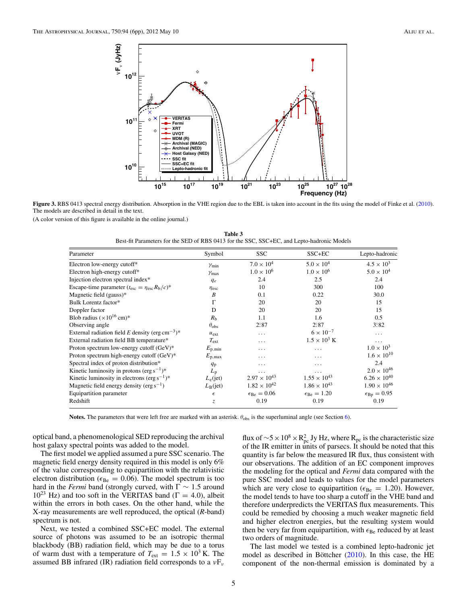<span id="page-5-0"></span>

**Figure 3.** RBS 0413 spectral energy distribution. Absorption in the VHE region due to the EBL is taken into account in the fits using the model of Finke et al. [\(2010\)](#page-6-0). The models are described in detail in the text.

(A color version of this figure is available in the online journal.)

**Table 3** Best-fit Parameters for the SED of RBS 0413 for the SSC, SSC+EC, and Lepto-hadronic Models

| Parameter                                                               | Symbol             | <b>SSC</b>                    | SSC+EC                        | Lepto-hadronic             |
|-------------------------------------------------------------------------|--------------------|-------------------------------|-------------------------------|----------------------------|
| Electron low-energy cutoff*                                             | $\gamma_{\min}$    | $7.0 \times 10^{4}$           | $5.0 \times 10^{4}$           | $4.5 \times 10^{3}$        |
| Electron high-energy cutoff*                                            | $\gamma$ max       | $1.0 \times 10^{6}$           | $1.0 \times 10^{6}$           | $5.0 \times 10^{4}$        |
| Injection electron spectral index*                                      | $q_e$              | 2.4                           | 2.5                           | 2.4                        |
| Escape-time parameter $(t_{\rm esc} = \eta_{\rm esc} R_{\rm b}/c)^*$    | $\eta_{\rm esc}$   | 10                            | 300                           | 100                        |
| Magnetic field (gauss)*                                                 | B                  | 0.1                           | 0.22                          | 30.0                       |
| Bulk Lorentz factor*                                                    | Г                  | 20                            | 20                            | 15                         |
| Doppler factor                                                          | D                  | 20                            | 20                            | 15                         |
| Blob radius $(\times 10^{16} \text{ cm})^*$                             | R <sub>b</sub>     | 1.1                           | 1.6                           | 0.5                        |
| Observing angle                                                         | $\theta_{\rm obs}$ | $2^{\circ}87$                 | $2^\circ 87$                  | 3.82                       |
| External radiation field E density (erg cm <sup>-3</sup> ) <sup>*</sup> | $u_{\text{ext}}$   | .                             | $6 \times 10^{-7}$            | .                          |
| External radiation field BB temperature*                                | $T_{\rm ext}$      | .                             | $1.5 \times 10^3$ K           | $\cdots$                   |
| Proton spectrum low-energy cutoff (GeV)*                                | $E_{\rm p,min}$    | .                             | .                             | $1.0 \times 10^{3}$        |
| Proton spectrum high-energy cutoff $(GeV)^*$                            | $E_{\rm p,max}$    | .                             | .                             | $1.6 \times 10^{10}$       |
| Spectral index of proton distribution*                                  | $q_{\rm p}$        | .                             | .                             | 2.4                        |
| Kinetic luminosity in protons (erg $s^{-1}$ )*                          | $L_{\rm p}$        | .                             | $\cdots$                      | $2.0 \times 10^{46}$       |
| Kinetic luminosity in electrons (erg $s^{-1}$ )*                        | $L_{e}$ (jet)      | $2.97 \times 10^{43}$         | $1.55 \times 10^{43}$         | $6.26 \times 10^{40}$      |
| Magnetic field energy density ( $erg s^{-1}$ )                          | $L_{\rm B}$ (jet)  | $1.82 \times 10^{42}$         | $1.86 \times 10^{43}$         | $1.90 \times 10^{46}$      |
| Equipartition parameter                                                 | $\epsilon$         | $\epsilon_{\text{Be}} = 0.06$ | $\epsilon_{\text{Be}} = 1.20$ | $\epsilon_{\rm Bp} = 0.95$ |
| Redshift                                                                | Z.                 | 0.19                          | 0.19                          | 0.19                       |

**Notes.** The parameters that were left free are marked with an asterisk. *θ*obs is the superluminal angle (see Section [6\)](#page-4-0).

optical band, a phenomenological SED reproducing the archival host galaxy spectral points was added to the model.

The first model we applied assumed a pure SSC scenario. The magnetic field energy density required in this model is only 6% of the value corresponding to equipartition with the relativistic electron distribution ( $\epsilon_{\text{Be}} = 0.06$ ). The model spectrum is too hard in the *Fermi* band (strongly curved, with  $\Gamma \sim 1.5$  around  $10^{23}$  Hz) and too soft in the VERITAS band ( $\Gamma = 4.0$ ), albeit within the errors in both cases. On the other hand, while the X-ray measurements are well reproduced, the optical (*R*-band) spectrum is not.

Next, we tested a combined SSC+EC model. The external source of photons was assumed to be an isotropic thermal blackbody (BB) radiation field, which may be due to a torus of warm dust with a temperature of  $T_{ext} = 1.5 \times 10^3$  K. The assumed BB infrared (IR) radiation field corresponds to a *ν*F*<sup>ν</sup>*

flux of  $\sim$  5 × 10<sup>8</sup> × R<sub>pc</sub> Jy Hz, where R<sub>pc</sub> is the characteristic size of the IR emitter in units of parsecs. It should be noted that this quantity is far below the measured IR flux, thus consistent with our observations. The addition of an EC component improves the modeling for the optical and *Fermi* data compared with the pure SSC model and leads to values for the model parameters which are very close to equipartition ( $\epsilon_{\text{Be}} = 1.20$ ). However, the model tends to have too sharp a cutoff in the VHE band and therefore underpredicts the VERITAS flux measurements. This could be remedied by choosing a much weaker magnetic field and higher electron energies, but the resulting system would then be very far from equipartition, with  $\epsilon_{\text{Be}}$  reduced by at least two orders of magnitude.

The last model we tested is a combined lepto-hadronic jet model as described in Böttcher  $(2010)$  $(2010)$ . In this case, the HE component of the non-thermal emission is dominated by a